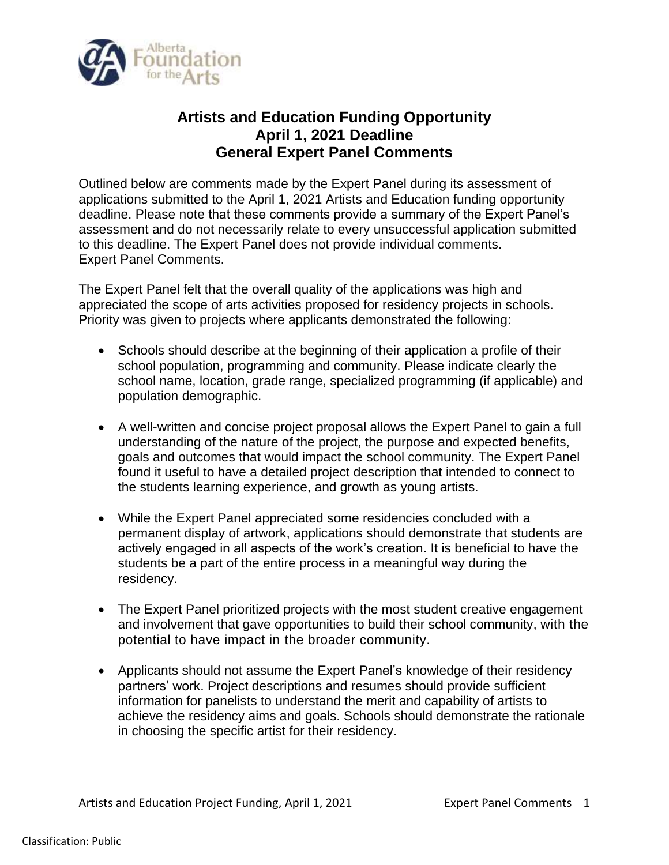

## **Artists and Education Funding Opportunity April 1, 2021 Deadline General Expert Panel Comments**

Outlined below are comments made by the Expert Panel during its assessment of applications submitted to the April 1, 2021 Artists and Education funding opportunity deadline. Please note that these comments provide a summary of the Expert Panel's assessment and do not necessarily relate to every unsuccessful application submitted to this deadline. The Expert Panel does not provide individual comments. Expert Panel Comments.

The Expert Panel felt that the overall quality of the applications was high and appreciated the scope of arts activities proposed for residency projects in schools. Priority was given to projects where applicants demonstrated the following:

- Schools should describe at the beginning of their application a profile of their school population, programming and community. Please indicate clearly the school name, location, grade range, specialized programming (if applicable) and population demographic.
- A well-written and concise project proposal allows the Expert Panel to gain a full understanding of the nature of the project, the purpose and expected benefits, goals and outcomes that would impact the school community. The Expert Panel found it useful to have a detailed project description that intended to connect to the students learning experience, and growth as young artists.
- While the Expert Panel appreciated some residencies concluded with a permanent display of artwork, applications should demonstrate that students are actively engaged in all aspects of the work's creation. It is beneficial to have the students be a part of the entire process in a meaningful way during the residency.
- The Expert Panel prioritized projects with the most student creative engagement and involvement that gave opportunities to build their school community, with the potential to have impact in the broader community.
- Applicants should not assume the Expert Panel's knowledge of their residency partners' work. Project descriptions and resumes should provide sufficient information for panelists to understand the merit and capability of artists to achieve the residency aims and goals. Schools should demonstrate the rationale in choosing the specific artist for their residency.